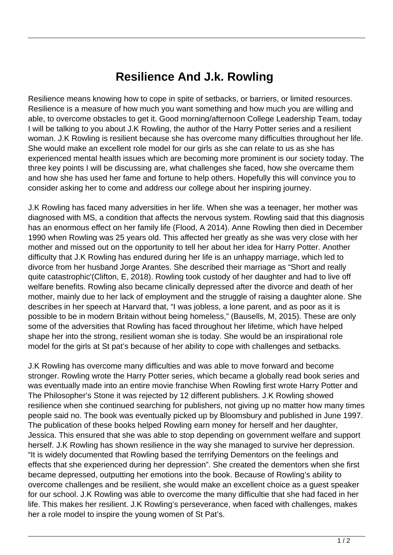## **Resilience And J.k. Rowling**

Resilience means knowing how to cope in spite of setbacks, or barriers, or limited resources. Resilience is a measure of how much you want something and how much you are willing and able, to overcome obstacles to get it. Good morning/afternoon College Leadership Team, today I will be talking to you about J.K Rowling, the author of the Harry Potter series and a resilient woman. J.K Rowling is resilient because she has overcome many difficulties throughout her life. She would make an excellent role model for our girls as she can relate to us as she has experienced mental health issues which are becoming more prominent is our society today. The three key points I will be discussing are, what challenges she faced, how she overcame them and how she has used her fame and fortune to help others. Hopefully this will convince you to consider asking her to come and address our college about her inspiring journey.

J.K Rowling has faced many adversities in her life. When she was a teenager, her mother was diagnosed with MS, a condition that affects the nervous system. Rowling said that this diagnosis has an enormous effect on her family life (Flood, A 2014). Anne Rowling then died in December 1990 when Rowling was 25 years old. This affected her greatly as she was very close with her mother and missed out on the opportunity to tell her about her idea for Harry Potter. Another difficulty that J.K Rowling has endured during her life is an unhappy marriage, which led to divorce from her husband Jorge Arantes. She described their marriage as "Short and really quite catastrophic'(Clifton, E, 2018). Rowling took custody of her daughter and had to live off welfare benefits. Rowling also became clinically depressed after the divorce and death of her mother, mainly due to her lack of employment and the struggle of raising a daughter alone. She describes in her speech at Harvard that, "I was jobless, a lone parent, and as poor as it is possible to be in modern Britain without being homeless," (Bausells, M, 2015). These are only some of the adversities that Rowling has faced throughout her lifetime, which have helped shape her into the strong, resilient woman she is today. She would be an inspirational role model for the girls at St pat's because of her ability to cope with challenges and setbacks.

J.K Rowling has overcome many difficulties and was able to move forward and become stronger. Rowling wrote the Harry Potter series, which became a globally read book series and was eventually made into an entire movie franchise When Rowling first wrote Harry Potter and The Philosopher's Stone it was rejected by 12 different publishers. J.K Rowling showed resilience when she continued searching for publishers, not giving up no matter how many times people said no. The book was eventually picked up by Bloomsbury and published in June 1997. The publication of these books helped Rowling earn money for herself and her daughter, Jessica. This ensured that she was able to stop depending on government welfare and support herself. J.K Rowling has shown resilience in the way she managed to survive her depression. "It is widely documented that Rowling based the terrifying Dementors on the feelings and effects that she experienced during her depression". She created the dementors when she first became depressed, outputting her emotions into the book. Because of Rowling's ability to overcome challenges and be resilient, she would make an excellent choice as a guest speaker for our school. J.K Rowling was able to overcome the many difficultie that she had faced in her life. This makes her resilient. J.K Rowling's perseverance, when faced with challenges, makes her a role model to inspire the young women of St Pat's.